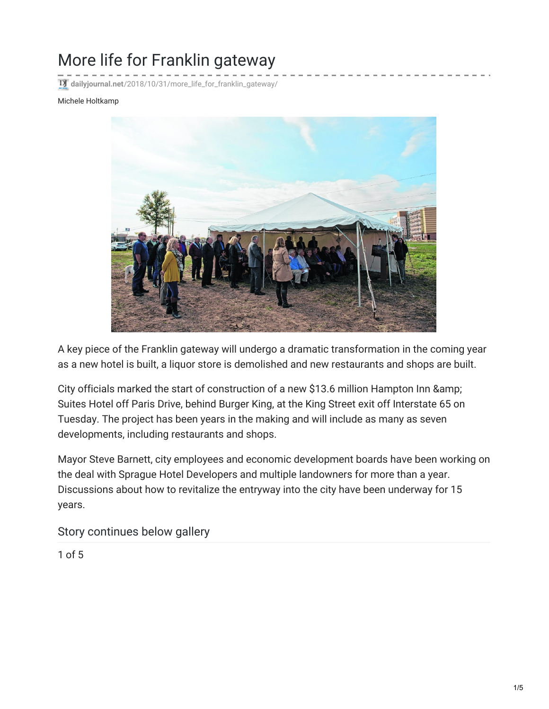## More life for Franklin gateway

**dailyjournal.net**[/2018/10/31/more\\_life\\_for\\_franklin\\_gateway/](http://www.dailyjournal.net/2018/10/31/more_life_for_franklin_gateway/)

## Michele Holtkamp



A key piece of the Franklin gateway will undergo a dramatic transformation in the coming year as a new hotel is built, a liquor store is demolished and new restaurants and shops are built.

City officials marked the start of construction of a new \$13.6 million Hampton Inn & Suites Hotel off Paris Drive, behind Burger King, at the King Street exit off Interstate 65 on Tuesday. The project has been years in the making and will include as many as seven developments, including restaurants and shops.

Mayor Steve Barnett, city employees and economic development boards have been working on the deal with Sprague Hotel Developers and multiple landowners for more than a year. Discussions about how to revitalize the entryway into the city have been underway for 15 years.

Story continues below gallery

1 of 5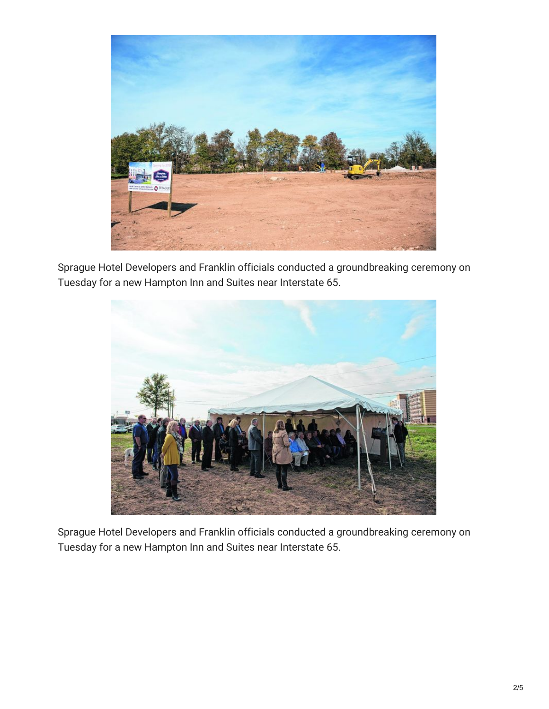

Sprague Hotel Developers and Franklin officials conducted a groundbreaking ceremony on Tuesday for a new Hampton Inn and Suites near Interstate 65.



Sprague Hotel Developers and Franklin officials conducted a groundbreaking ceremony on Tuesday for a new Hampton Inn and Suites near Interstate 65.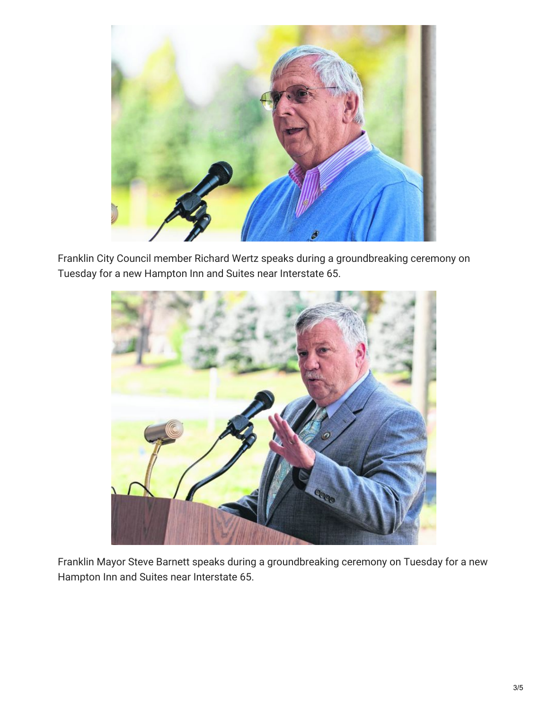

Franklin City Council member Richard Wertz speaks during a groundbreaking ceremony on Tuesday for a new Hampton Inn and Suites near Interstate 65.



Franklin Mayor Steve Barnett speaks during a groundbreaking ceremony on Tuesday for a new Hampton Inn and Suites near Interstate 65.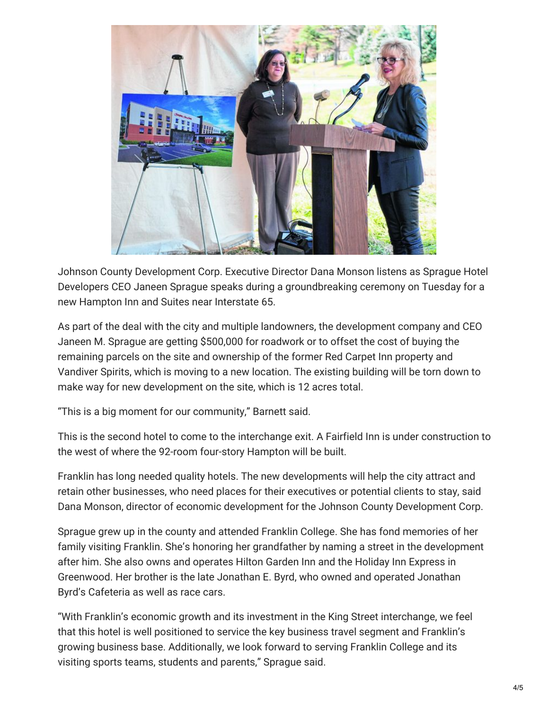

Johnson County Development Corp. Executive Director Dana Monson listens as Sprague Hotel Developers CEO Janeen Sprague speaks during a groundbreaking ceremony on Tuesday for a new Hampton Inn and Suites near Interstate 65.

As part of the deal with the city and multiple landowners, the development company and CEO Janeen M. Sprague are getting \$500,000 for roadwork or to offset the cost of buying the remaining parcels on the site and ownership of the former Red Carpet Inn property and Vandiver Spirits, which is moving to a new location. The existing building will be torn down to make way for new development on the site, which is 12 acres total.

"This is a big moment for our community," Barnett said.

This is the second hotel to come to the interchange exit. A Fairfield Inn is under construction to the west of where the 92-room four-story Hampton will be built.

Franklin has long needed quality hotels. The new developments will help the city attract and retain other businesses, who need places for their executives or potential clients to stay, said Dana Monson, director of economic development for the Johnson County Development Corp.

Sprague grew up in the county and attended Franklin College. She has fond memories of her family visiting Franklin. She's honoring her grandfather by naming a street in the development after him. She also owns and operates Hilton Garden Inn and the Holiday Inn Express in Greenwood. Her brother is the late Jonathan E. Byrd, who owned and operated Jonathan Byrd's Cafeteria as well as race cars.

"With Franklin's economic growth and its investment in the King Street interchange, we feel that this hotel is well positioned to service the key business travel segment and Franklin's growing business base. Additionally, we look forward to serving Franklin College and its visiting sports teams, students and parents," Sprague said.